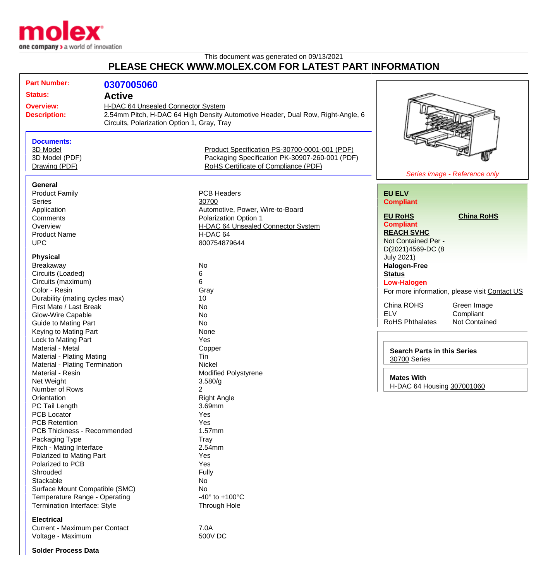

## This document was generated on 09/13/2021 **PLEASE CHECK WWW.MOLEX.COM FOR LATEST PART INFORMATION**

| <b>Part Number:</b><br><b>Status:</b><br><b>Overview:</b><br><b>Description:</b>                                                                                                                                     | 0307005060<br><b>Active</b><br>H-DAC 64 Unsealed Connector System<br>Circuits, Polarization Option 1, Gray, Tray | 2.54mm Pitch, H-DAC 64 High Density Automotive Header, Dual Row, Right-Angle, 6                                                                                   |                                                                                                                                                            |                                                                                                   |
|----------------------------------------------------------------------------------------------------------------------------------------------------------------------------------------------------------------------|------------------------------------------------------------------------------------------------------------------|-------------------------------------------------------------------------------------------------------------------------------------------------------------------|------------------------------------------------------------------------------------------------------------------------------------------------------------|---------------------------------------------------------------------------------------------------|
| <b>Documents:</b><br>3D Model<br>3D Model (PDF)<br>Drawing (PDF)                                                                                                                                                     |                                                                                                                  | Product Specification PS-30700-0001-001 (PDF)<br>Packaging Specification PK-30907-260-001 (PDF)<br>RoHS Certificate of Compliance (PDF)                           |                                                                                                                                                            | Series image - Reference only                                                                     |
| <b>General</b><br><b>Product Family</b><br><b>Series</b><br>Application<br>Comments<br>Overview<br><b>Product Name</b><br><b>UPC</b>                                                                                 |                                                                                                                  | <b>PCB Headers</b><br>30700<br>Automotive, Power, Wire-to-Board<br><b>Polarization Option 1</b><br>H-DAC 64 Unsealed Connector System<br>H-DAC 64<br>800754879644 | <b>EU ELV</b><br><b>Compliant</b><br><b>EU RoHS</b><br><b>Compliant</b><br><b>REACH SVHC</b><br>Not Contained Per -                                        | <b>China RoHS</b>                                                                                 |
| <b>Physical</b><br>Breakaway<br>Circuits (Loaded)<br>Circuits (maximum)<br>Color - Resin<br>Durability (mating cycles max)<br>First Mate / Last Break<br>Glow-Wire Capable<br><b>Guide to Mating Part</b>            |                                                                                                                  | No<br>6<br>6<br>Gray<br>10<br>No<br><b>No</b><br><b>No</b>                                                                                                        | D(2021)4569-DC (8<br><b>July 2021)</b><br><b>Halogen-Free</b><br><b>Status</b><br><b>Low-Halogen</b><br>China ROHS<br><b>ELV</b><br><b>RoHS Phthalates</b> | For more information, please visit Contact US<br>Green Image<br>Compliant<br><b>Not Contained</b> |
| Keying to Mating Part<br>Lock to Mating Part<br>Material - Metal<br><b>Material - Plating Mating</b><br>Material - Plating Termination<br>Material - Resin<br>Net Weight<br>Number of Rows                           |                                                                                                                  | None<br>Yes<br>Copper<br>Tin<br>Nickel<br><b>Modified Polystyrene</b><br>3.580/g<br>2                                                                             | <b>Search Parts in this Series</b><br>30700 Series<br><b>Mates With</b><br>H-DAC 64 Housing 307001060                                                      |                                                                                                   |
| Orientation<br>PC Tail Length<br><b>PCB Locator</b><br><b>PCB Retention</b><br>PCB Thickness - Recommended<br>Packaging Type<br>Pitch - Mating Interface<br>Polarized to Mating Part<br>Polarized to PCB<br>Shrouded |                                                                                                                  | <b>Right Angle</b><br>3.69mm<br>Yes<br>Yes<br>1.57mm<br>Tray<br>2.54mm<br>Yes<br>Yes<br>Fully                                                                     |                                                                                                                                                            |                                                                                                   |
| Stackable<br>Surface Mount Compatible (SMC)<br>Temperature Range - Operating<br>Termination Interface: Style<br><b>Electrical</b><br>Current - Maximum per Contact<br>Voltage - Maximum                              |                                                                                                                  | No<br>No<br>-40 $^{\circ}$ to +100 $^{\circ}$ C<br>Through Hole<br>7.0A<br>500V DC                                                                                |                                                                                                                                                            |                                                                                                   |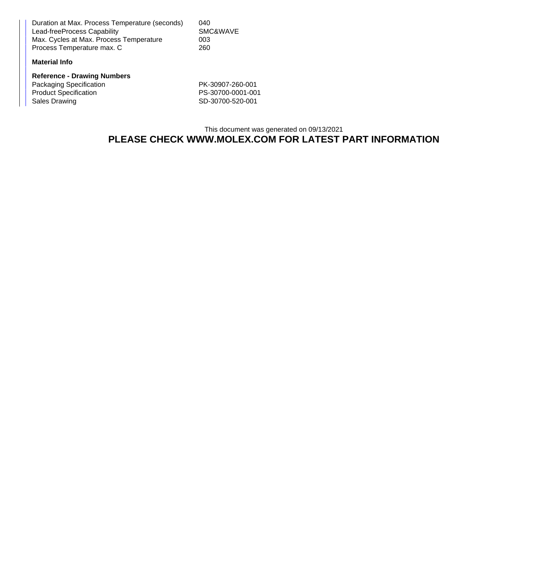Duration at Max. Process Temperature (seconds) 040 Lead-freeProcess Capability SMC&WAVE Max. Cycles at Max. Process Temperature 003<br>Process Temperature max. C 260 Process Temperature max. C

## **Material Info**

**Reference - Drawing Numbers** Packaging Specification PK-30907-260-001 Product Specification PS-30700-0001-001 Sales Drawing 3D-30700-520-001

This document was generated on 09/13/2021 **PLEASE CHECK WWW.MOLEX.COM FOR LATEST PART INFORMATION**